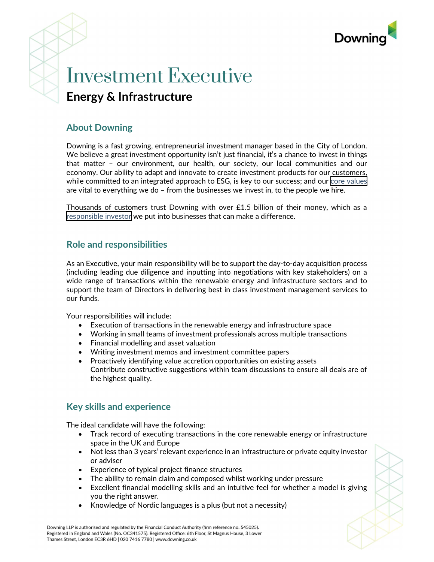

# Investment Executive Energy & Infrastructure

## About Downing

Downing is a fast growing, entrepreneurial investment manager based in the City of London. We believe a great investment opportunity isn't just financial, it's a chance to invest in things that matter – our environment, our health, our society, our local communities and our economy. Our ability to adapt and innovate to create investment products for our customers, while committed to an integrated approach to ESG, is key to our success; and our [core values](https://www.downing.co.uk/about-us) are vital to everything we do – from the businesses we invest in, to the people we hire.

Thousands of customers trust Downing with over £1.5 billion of their money, which as a [responsible investor](https://www.downing.co.uk/responsible-investing) we put into businesses that can make a difference.

### Role and responsibilities

As an Executive, your main responsibility will be to support the day-to-day acquisition process (including leading due diligence and inputting into negotiations with key stakeholders) on a wide range of transactions within the renewable energy and infrastructure sectors and to support the team of Directors in delivering best in class investment management services to our funds.

Your responsibilities will include:

- Execution of transactions in the renewable energy and infrastructure space
- Working in small teams of investment professionals across multiple transactions
- Financial modelling and asset valuation
- Writing investment memos and investment committee papers
- Proactively identifying value accretion opportunities on existing assets Contribute constructive suggestions within team discussions to ensure all deals are of the highest quality.

# Key skills and experience

The ideal candidate will have the following:

- Track record of executing transactions in the core renewable energy or infrastructure space in the UK and Europe
- Not less than 3 years' relevant experience in an infrastructure or private equity investor or adviser
- Experience of typical project finance structures
- The ability to remain claim and composed whilst working under pressure
- Excellent financial modelling skills and an intuitive feel for whether a model is giving you the right answer.
- Knowledge of Nordic languages is a plus (but not a necessity)